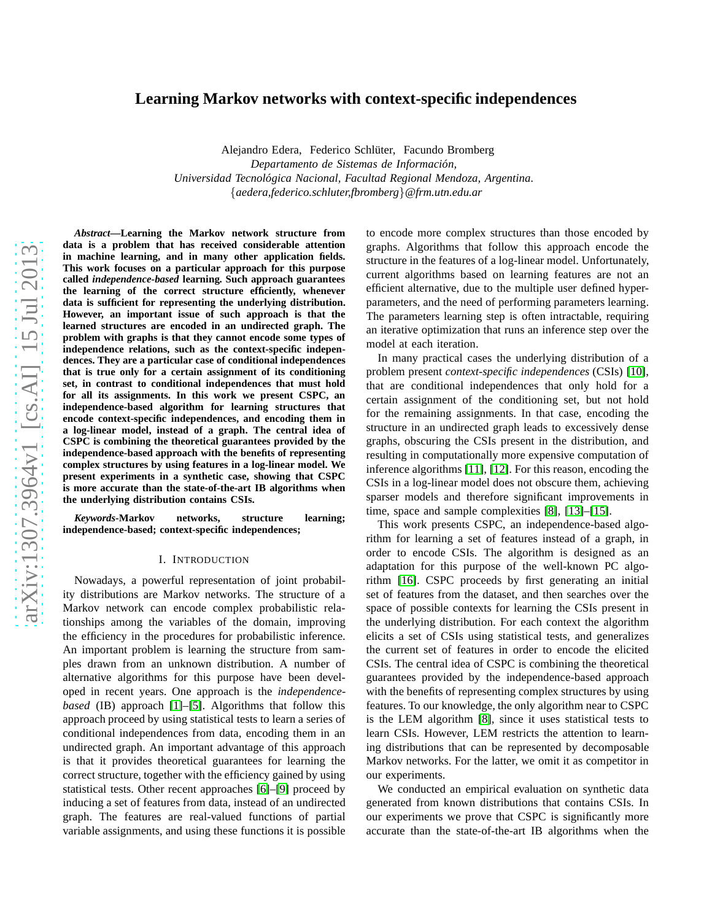# **Learning Markov networks with context-specific independences**

Alejandro Edera, Federico Schlüter, Facundo Bromberg *Departamento de Sistemas de Informacion, ´ Universidad Tecnologica Nacional, Facultad Regional Mendoza, Argentina. ´* {*aedera,federico.schluter,fbromberg*}*@frm.utn.edu.ar*

*Abstract***—Learning the Markov network structure from data is a problem that has received considerable attention in machine learning, and in many other application fields. This work focuses on a particular approach for this purpose called** *independence-based* **learning. Such approach guarantees the learning of the correct structure efficiently, whenever data is sufficient for representing the underlying distribution. However, an important issue of such approach is that the learned structures are encoded in an undirected graph. The problem with graphs is that they cannot encode some types of independence relations, such as the context-specific independences. They are a particular case of conditional independences that is true only for a certain assignment of its conditioning set, in contrast to conditional independences that must hold for all its assignments. In this work we present CSPC, an independence-based algorithm for learning structures that encode context-specific independences, and encoding them in a log-linear model, instead of a graph. The central idea of CSPC is combining the theoretical guarantees provided by the independence-based approach with the benefits of representing complex structures by using features in a log-linear model. We present experiments in a synthetic case, showing that CSPC is more accurate than the state-of-the-art IB algorithms when the underlying distribution contains CSIs.**

*Keywords***-Markov networks, structure learning; independence-based; context-specific independences;**

### I. INTRODUCTION

Nowadays, a powerful representation of joint probability distributions are Markov networks. The structure of a Markov network can encode complex probabilistic relationships among the variables of the domain, improving the efficiency in the procedures for probabilistic inference. An important problem is learning the structure from samples drawn from an unknown distribution. A number of alternative algorithms for this purpose have been developed in recent years. One approach is the *independencebased* (IB) approach [\[1\]](#page-7-0)–[\[5\]](#page-7-1). Algorithms that follow this approach proceed by using statistical tests to learn a series of conditional independences from data, encoding them in an undirected graph. An important advantage of this approach is that it provides theoretical guarantees for learning the correct structure, together with the efficiency gained by using statistical tests. Other recent approaches [\[6\]](#page-7-2)–[\[9\]](#page-7-3) proceed by inducing a set of features from data, instead of an undirected graph. The features are real-valued functions of partial variable assignments, and using these functions it is possible to encode more complex structures than those encoded by graphs. Algorithms that follow this approach encode the structure in the features of a log-linear model. Unfortunately, current algorithms based on learning features are not an efficient alternative, due to the multiple user defined hyperparameters, and the need of performing parameters learning. The parameters learning step is often intractable, requiring an iterative optimization that runs an inference step over the model at each iteration.

In many practical cases the underlying distribution of a problem present *context-specific independences* (CSIs) [\[10\]](#page-7-4), that are conditional independences that only hold for a certain assignment of the conditioning set, but not hold for the remaining assignments. In that case, encoding the structure in an undirected graph leads to excessively dense graphs, obscuring the CSIs present in the distribution, and resulting in computationally more expensive computation of inference algorithms [\[11\]](#page-7-5), [\[12\]](#page-7-6). For this reason, encoding the CSIs in a log-linear model does not obscure them, achieving sparser models and therefore significant improvements in time, space and sample complexities [\[8\]](#page-7-7), [\[13\]](#page-7-8)–[\[15\]](#page-7-9).

This work presents CSPC, an independence-based algorithm for learning a set of features instead of a graph, in order to encode CSIs. The algorithm is designed as an adaptation for this purpose of the well-known PC algorithm [\[16\]](#page-7-10). CSPC proceeds by first generating an initial set of features from the dataset, and then searches over the space of possible contexts for learning the CSIs present in the underlying distribution. For each context the algorithm elicits a set of CSIs using statistical tests, and generalizes the current set of features in order to encode the elicited CSIs. The central idea of CSPC is combining the theoretical guarantees provided by the independence-based approach with the benefits of representing complex structures by using features. To our knowledge, the only algorithm near to CSPC is the LEM algorithm [\[8\]](#page-7-7), since it uses statistical tests to learn CSIs. However, LEM restricts the attention to learning distributions that can be represented by decomposable Markov networks. For the latter, we omit it as competitor in our experiments.

We conducted an empirical evaluation on synthetic data generated from known distributions that contains CSIs. In our experiments we prove that CSPC is significantly more accurate than the state-of-the-art IB algorithms when the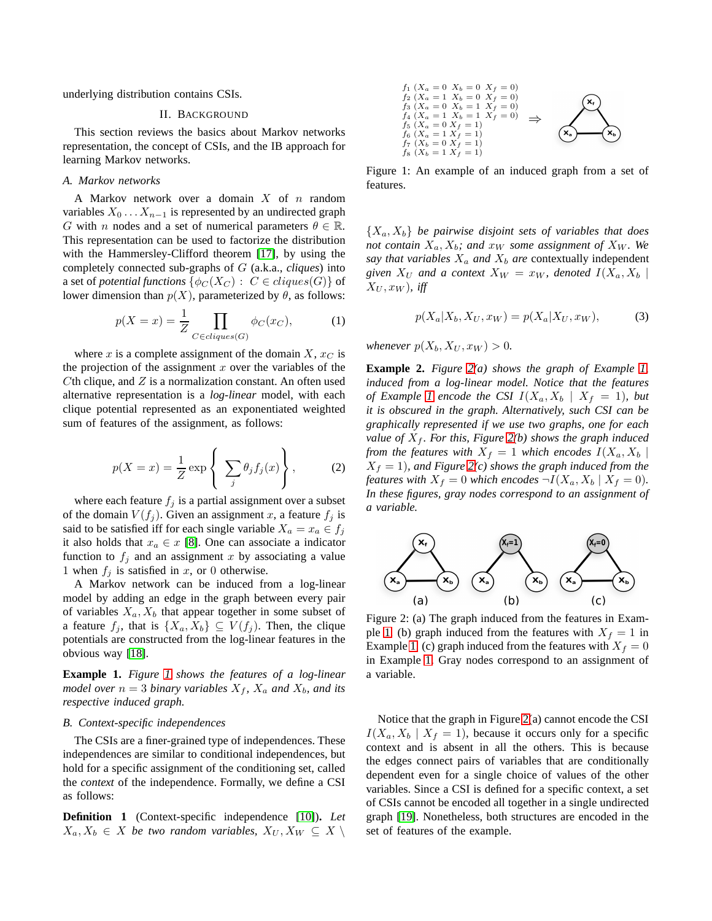underlying distribution contains CSIs.

## II. BACKGROUND

This section reviews the basics about Markov networks representation, the concept of CSIs, and the IB approach for learning Markov networks.

## *A. Markov networks*

A Markov network over a domain  $X$  of  $n$  random variables  $X_0 \ldots X_{n-1}$  is represented by an undirected graph G with n nodes and a set of numerical parameters  $\theta \in \mathbb{R}$ . This representation can be used to factorize the distribution with the Hammersley-Clifford theorem [\[17\]](#page-7-11), by using the completely connected sub-graphs of G (a.k.a., *cliques*) into a set of *potential functions*  $\{\phi_C(X_C) : C \in cliques(G)\}\$  of lower dimension than  $p(X)$ , parameterized by  $\theta$ , as follows:

$$
p(X = x) = \frac{1}{Z} \prod_{C \in cliques(G)} \phi_C(x_C),
$$
 (1)

where x is a complete assignment of the domain  $X, x_C$  is the projection of the assignment  $x$  over the variables of the Cth clique, and  $Z$  is a normalization constant. An often used alternative representation is a *log-linear* model, with each clique potential represented as an exponentiated weighted sum of features of the assignment, as follows:

$$
p(X = x) = \frac{1}{Z} \exp\left\{ \sum_{j} \theta_{j} f_{j}(x) \right\},
$$
 (2)

where each feature  $f_i$  is a partial assignment over a subset of the domain  $V(f_j)$ . Given an assignment x, a feature  $f_j$  is said to be satisfied iff for each single variable  $X_a = x_a \in f_j$ it also holds that  $x_a \in x$  [\[8\]](#page-7-7). One can associate a indicator function to  $f_i$  and an assignment x by associating a value 1 when  $f_i$  is satisfied in x, or 0 otherwise.

A Markov network can be induced from a log-linear model by adding an edge in the graph between every pair of variables  $X_a, X_b$  that appear together in some subset of a feature  $f_j$ , that is  $\{X_a, X_b\} \subseteq V(f_j)$ . Then, the clique potentials are constructed from the log-linear features in the obvious way [\[18\]](#page-7-12).

<span id="page-1-2"></span>**Example 1.** *Figure [1](#page-1-0) shows the features of a log-linear model over*  $n = 3$  *binary variables*  $X_f$ ,  $X_a$  *and*  $X_b$ *, and its respective induced graph.*

#### *B. Context-specific independences*

The CSIs are a finer-grained type of independences. These independences are similar to conditional independences, but hold for a specific assignment of the conditioning set, called the *context* of the independence. Formally, we define a CSI as follows:

**Definition 1** (Context-specific independence [\[10\]](#page-7-4))**.** *Let*  $X_a, X_b \in X$  *be two random variables,*  $X_U, X_W \subseteq X \setminus X$ 

<span id="page-1-0"></span>

Figure 1: An example of an induced graph from a set of features.

 ${X_a, X_b}$  *be pairwise disjoint sets of variables that does not contain*  $X_a$ ,  $X_b$ *; and*  $x_W$  *some assignment of*  $X_W$ *. We say that variables*  $X_a$  *and*  $X_b$  *are* contextually independent *given*  $X_U$  *and a context*  $X_W = x_W$ *, denoted*  $I(X_a, X_b |$  $X_U, x_W$ ), iff

$$
p(X_a|X_b, X_U, x_W) = p(X_a|X_U, x_W),
$$
\n(3)

*whenever*  $p(X_b, X_U, x_W) > 0$ .

<span id="page-1-3"></span>**Example 2.** *Figure [2\(](#page-1-1)a) shows the graph of Example [1,](#page-1-2) induced from a log-linear model. Notice that the features of Example [1](#page-1-2) encode the CSI*  $I(X_a, X_b | X_f = 1)$ *, but it is obscured in the graph. Alternatively, such CSI can be graphically represented if we use two graphs, one for each value of*  $X_f$ *. For this, Figure* [2\(](#page-1-1)*b*) shows the graph induced *from the features with*  $X_f = 1$  *which encodes*  $I(X_a, X_b |$  $X_f = 1$ *), and Figure* [2\(](#page-1-1)*c*) shows the graph induced from the *features with*  $X_f = 0$  *which encodes*  $\neg I(X_a, X_b | X_f = 0)$ *. In these figures, gray nodes correspond to an assignment of a variable.*

<span id="page-1-1"></span>

Figure 2: (a) The graph induced from the features in Exam-ple [1.](#page-1-2) (b) graph induced from the features with  $X_f = 1$  in Example [1.](#page-1-2) (c) graph induced from the features with  $X_f = 0$ in Example [1.](#page-1-2) Gray nodes correspond to an assignment of a variable.

Notice that the graph in Figure [2\(](#page-1-1)a) cannot encode the CSI  $I(X_a, X_b | X_f = 1)$ , because it occurs only for a specific context and is absent in all the others. This is because the edges connect pairs of variables that are conditionally dependent even for a single choice of values of the other variables. Since a CSI is defined for a specific context, a set of CSIs cannot be encoded all together in a single undirected graph [\[19\]](#page-7-13). Nonetheless, both structures are encoded in the set of features of the example.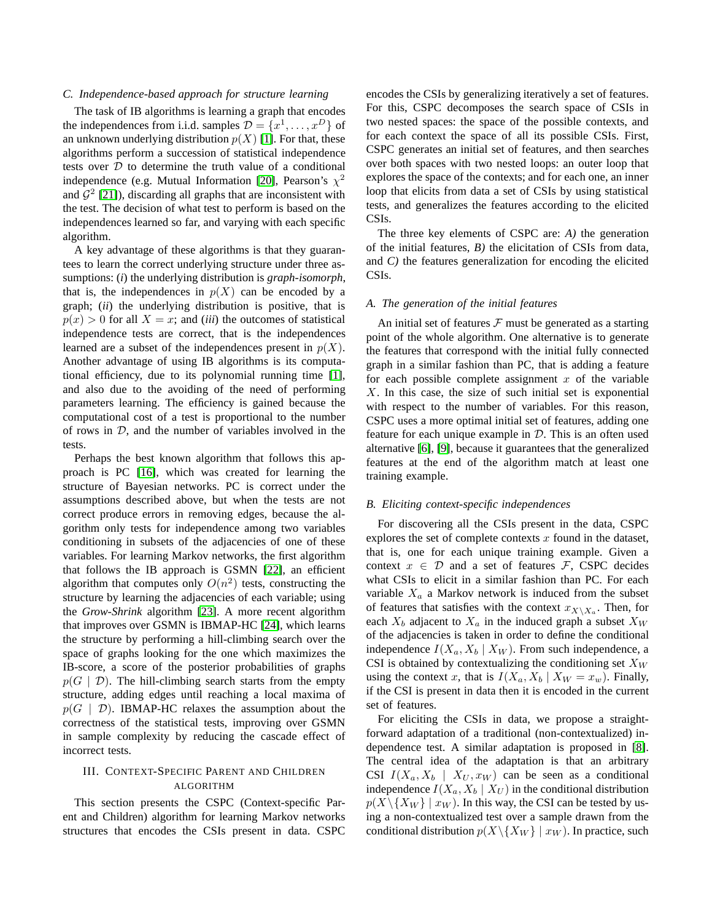## *C. Independence-based approach for structure learning*

The task of IB algorithms is learning a graph that encodes the independences from i.i.d. samples  $\mathcal{D} = \{x^1, \dots, x^D\}$  of an unknown underlying distribution  $p(X)$  [\[1\]](#page-7-0). For that, these algorithms perform a succession of statistical independence tests over  $D$  to determine the truth value of a conditional independence (e.g. Mutual Information [\[20\]](#page-7-14), Pearson's  $\chi^2$ and  $\mathcal{G}^2$  [\[21\]](#page-7-15)), discarding all graphs that are inconsistent with the test. The decision of what test to perform is based on the independences learned so far, and varying with each specific algorithm.

A key advantage of these algorithms is that they guarantees to learn the correct underlying structure under three assumptions: (*i*) the underlying distribution is *graph-isomorph*, that is, the independences in  $p(X)$  can be encoded by a graph; (*ii*) the underlying distribution is positive, that is  $p(x) > 0$  for all  $X = x$ ; and *(iii)* the outcomes of statistical independence tests are correct, that is the independences learned are a subset of the independences present in  $p(X)$ . Another advantage of using IB algorithms is its computational efficiency, due to its polynomial running time [\[1\]](#page-7-0), and also due to the avoiding of the need of performing parameters learning. The efficiency is gained because the computational cost of a test is proportional to the number of rows in  $D$ , and the number of variables involved in the tests.

Perhaps the best known algorithm that follows this approach is PC [\[16\]](#page-7-10), which was created for learning the structure of Bayesian networks. PC is correct under the assumptions described above, but when the tests are not correct produce errors in removing edges, because the algorithm only tests for independence among two variables conditioning in subsets of the adjacencies of one of these variables. For learning Markov networks, the first algorithm that follows the IB approach is GSMN [\[22\]](#page-7-16), an efficient algorithm that computes only  $O(n^2)$  tests, constructing the structure by learning the adjacencies of each variable; using the *Grow-Shrink* algorithm [\[23\]](#page-7-17). A more recent algorithm that improves over GSMN is IBMAP-HC [\[24\]](#page-7-18), which learns the structure by performing a hill-climbing search over the space of graphs looking for the one which maximizes the IB-score, a score of the posterior probabilities of graphs  $p(G | \mathcal{D})$ . The hill-climbing search starts from the empty structure, adding edges until reaching a local maxima of  $p(G | D)$ . IBMAP-HC relaxes the assumption about the correctness of the statistical tests, improving over GSMN in sample complexity by reducing the cascade effect of incorrect tests.

## III. CONTEXT-SPECIFIC PARENT AND CHILDREN ALGORITHM

This section presents the CSPC (Context-specific Parent and Children) algorithm for learning Markov networks structures that encodes the CSIs present in data. CSPC encodes the CSIs by generalizing iteratively a set of features. For this, CSPC decomposes the search space of CSIs in two nested spaces: the space of the possible contexts, and for each context the space of all its possible CSIs. First, CSPC generates an initial set of features, and then searches over both spaces with two nested loops: an outer loop that explores the space of the contexts; and for each one, an inner loop that elicits from data a set of CSIs by using statistical tests, and generalizes the features according to the elicited CSIs.

The three key elements of CSPC are: *A)* the generation of the initial features, *B)* the elicitation of CSIs from data, and *C)* the features generalization for encoding the elicited CSIs.

#### *A. The generation of the initial features*

An initial set of features  $F$  must be generated as a starting point of the whole algorithm. One alternative is to generate the features that correspond with the initial fully connected graph in a similar fashion than PC, that is adding a feature for each possible complete assignment  $x$  of the variable X. In this case, the size of such initial set is exponential with respect to the number of variables. For this reason, CSPC uses a more optimal initial set of features, adding one feature for each unique example in  $D$ . This is an often used alternative [\[6\]](#page-7-2), [\[9\]](#page-7-3), because it guarantees that the generalized features at the end of the algorithm match at least one training example.

### *B. Eliciting context-specific independences*

For discovering all the CSIs present in the data, CSPC explores the set of complete contexts  $x$  found in the dataset, that is, one for each unique training example. Given a context  $x \in \mathcal{D}$  and a set of features  $\mathcal{F}$ , CSPC decides what CSIs to elicit in a similar fashion than PC. For each variable  $X_a$  a Markov network is induced from the subset of features that satisfies with the context  $x_{X\setminus X_a}$ . Then, for each  $X_b$  adjacent to  $X_a$  in the induced graph a subset  $X_W$ of the adjacencies is taken in order to define the conditional independence  $I(X_a, X_b | X_W)$ . From such independence, a CSI is obtained by contextualizing the conditioning set  $X_W$ using the context x, that is  $I(X_a, X_b | X_W = x_w)$ . Finally, if the CSI is present in data then it is encoded in the current set of features.

For eliciting the CSIs in data, we propose a straightforward adaptation of a traditional (non-contextualized) independence test. A similar adaptation is proposed in [\[8\]](#page-7-7). The central idea of the adaptation is that an arbitrary CSI  $I(X_a, X_b \mid X_U, x_W)$  can be seen as a conditional independence  $I(X_a, X_b | X_U)$  in the conditional distribution  $p(X\setminus\{X_W\} | x_W)$ . In this way, the CSI can be tested by using a non-contextualized test over a sample drawn from the conditional distribution  $p(X\backslash\{X_W\} | x_W)$ . In practice, such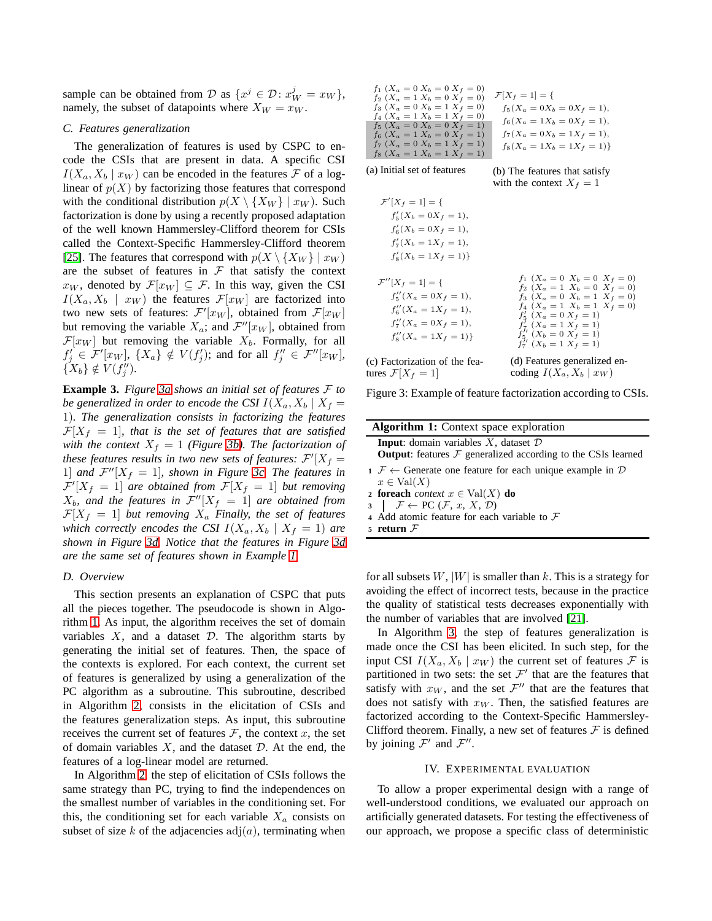sample can be obtained from  $D$  as  $\{x^j \in D : x_W^j = x_W\},\$ namely, the subset of datapoints where  $X_W = x_W$ .

## *C. Features generalization*

The generalization of features is used by CSPC to encode the CSIs that are present in data. A specific CSI  $I(X_a, X_b \mid x_W)$  can be encoded in the features F of a loglinear of  $p(X)$  by factorizing those features that correspond with the conditional distribution  $p(X \setminus \{X_W\} | x_W)$ . Such factorization is done by using a recently proposed adaptation of the well known Hammersley-Clifford theorem for CSIs called the Context-Specific Hammersley-Clifford theorem [\[25\]](#page-7-19). The features that correspond with  $p(X \setminus \{X_W\} | x_W)$ are the subset of features in  $\mathcal F$  that satisfy the context  $x_W$ , denoted by  $\mathcal{F}[x_W] \subseteq \mathcal{F}$ . In this way, given the CSI  $I(X_a, X_b \mid x_W)$  the features  $\mathcal{F}[x_W]$  are factorized into two new sets of features:  $\mathcal{F}'[x_W]$ , obtained from  $\mathcal{F}[x_W]$ but removing the variable  $X_a$ ; and  $\mathcal{F}''[x_W]$ , obtained from  $\mathcal{F}[x_W]$  but removing the variable  $X_b$ . Formally, for all  $f'_j \in \mathcal{F}'[x_W], \ \{X_a\} \notin V(f'_j);$  and for all  $f''_j \in \mathcal{F}''[x_W],$  $\{X_b\} \notin V(f''_j).$ 

**Example 3.** *Figure [3a](#page-3-0) shows an initial set of features* F *to be generalized in order to encode the CSI*  $I(X_a, X_b | X_f =$ 1)*. The generalization consists in factorizing the features*  $\mathcal{F}[X_f = 1]$ , that is the set of features that are satisfied *with the context*  $X_f = 1$  *(Figure [3b\)](#page-3-0). The factorization of* these features results in two new sets of features:  $\mathcal{F}'[X_f]=0$ 1] and  $\mathcal{F}''[X_f = 1]$ , shown in Figure [3c.](#page-3-0) The features in  $\mathcal{F}'[X_f = 1]$  are obtained from  $\mathcal{F}[X_f = 1]$  but removing  $X_b$ , and the features in  $\mathcal{F}''[X_f = 1]$  are obtained from  $\mathcal{F}[X_f = 1]$  *but removing*  $X_a$  *Finally, the set of features which correctly encodes the CSI*  $I(X_a, X_b \mid X_f = 1)$  *are shown in Figure [3d.](#page-3-0) Notice that the features in Figure [3d](#page-3-0) are the same set of features shown in Example [1.](#page-1-2)*

## *D. Overview*

This section presents an explanation of CSPC that puts all the pieces together. The pseudocode is shown in Algorithm [1.](#page-3-1) As input, the algorithm receives the set of domain variables  $X$ , and a dataset  $D$ . The algorithm starts by generating the initial set of features. Then, the space of the contexts is explored. For each context, the current set of features is generalized by using a generalization of the PC algorithm as a subroutine. This subroutine, described in Algorithm [2,](#page-4-0) consists in the elicitation of CSIs and the features generalization steps. As input, this subroutine receives the current set of features  $\mathcal{F}$ , the context x, the set of domain variables  $X$ , and the dataset  $D$ . At the end, the features of a log-linear model are returned.

In Algorithm [2,](#page-4-0) the step of elicitation of CSIs follows the same strategy than PC, trying to find the independences on the smallest number of variables in the conditioning set. For this, the conditioning set for each variable  $X_a$  consists on subset of size k of the adjacencies  $adj(a)$ , terminating when

<span id="page-3-0"></span>

| $f_1$ $(X_a = 0 \ X_b = 0 \ X_f = 0)$<br>$f_2$ $(X_a = 1 \ X_b = 0 \ X_f = 0)$<br>$f_3$ $(X_a = 0 \ X_b = 1 \ X_f = 0)$<br>$f_4$ $(X_a = 1 \ X_b = 1 \ X_f = 0)$<br>$f_5$ $(X_a = 0 \ X_b = 0 \ X_f = 1)$<br>$f_6$ $(X_a = 1 \ X_b = 0 \ X_f = 1)$<br>$f_7$ $(X_a = 0 \ X_b = 1 \ X_f = 1)$<br>$f_8$ $(X_a = 1 \ X_b = 1 \ X_f = 1)$ | $\mathcal{F}[X_f = 1] = \{$<br>$f_5(X_a = 0X_b = 0X_f = 1),$<br>$f_6(X_a = 1X_b = 0X_f = 1),$<br>$f_7(X_a = 0X_b = 1X_f = 1),$<br>$f_8(X_a = 1X_b = 1X_f = 1)$                                                                                                                              |
|--------------------------------------------------------------------------------------------------------------------------------------------------------------------------------------------------------------------------------------------------------------------------------------------------------------------------------------|---------------------------------------------------------------------------------------------------------------------------------------------------------------------------------------------------------------------------------------------------------------------------------------------|
| (a) Initial set of features                                                                                                                                                                                                                                                                                                          | (b) The features that satisfy<br>with the context $X_f = 1$                                                                                                                                                                                                                                 |
| $\mathcal{F}'[X_f = 1] = \{$<br>$f'_{5}(X_{b}=0X_{f}=1),$<br>$f'_6(X_b = 0X_f = 1),$<br>$f'_{7}(X_{b}=1X_{f}=1),$<br>$f'_{8}(X_{b}=1X_{f}=1)$                                                                                                                                                                                        |                                                                                                                                                                                                                                                                                             |
| $\mathcal{F}''[X_f = 1] = \{$<br>$f''_{5}(X_a=0X_f=1),$<br>$f''_6(X_a = 1X_f = 1),$<br>$f''_{7}(X_a=0X_f=1),$<br>$f''_8(X_a = 1X_f = 1)$                                                                                                                                                                                             | $f_1$ $(X_a = 0 \ X_b = 0 \ X_f = 0)$<br>$f_2$ $(X_a = 1 \ X_b = 0 \ X_f = 0)$<br>$f_3$ $(X_a = 0 \ X_b = 1 \ X_f = 0)$<br>$f_4$ $(X_a = 1 \ X_b = 1 \ X_f = 0)$<br>$f'_{5}(X_a = 0 X_f = 1)$<br>$f'_{7}(X_a = 1 X_f = 1)$<br>$f''_{5}(X_b = 0 \; X_f = 1)$<br>$f''_{7}(X_b = 1   X_f = 1)$ |
| (c) Factorization of the fea-<br>tures $\mathcal{F}[X_f = 1]$                                                                                                                                                                                                                                                                        | (d) Features generalized en-<br>coding $I(X_a, X_b   x_W)$                                                                                                                                                                                                                                  |

Figure 3: Example of feature factorization according to CSIs.

| <b>Algorithm 1:</b> Context space exploration                                                                                      |
|------------------------------------------------------------------------------------------------------------------------------------|
| <b>Input:</b> domain variables $X$ , dataset $D$<br><b>Output:</b> features $\mathcal F$ generalized according to the CSIs learned |
| $1 \mathcal{F} \leftarrow$ Generate one feature for each unique example in $\mathcal{D}$<br>$x \in Val(X)$                         |
| 2 foreach <i>context</i> $x \in Val(X)$ do                                                                                         |
| $\mathcal{F} \leftarrow PC \ (\mathcal{F}, x, X, \mathcal{D})$                                                                     |
| 4 Add atomic feature for each variable to $\mathcal F$                                                                             |
| 5 return $F$                                                                                                                       |
|                                                                                                                                    |

<span id="page-3-1"></span>for all subsets  $W$ ,  $|W|$  is smaller than k. This is a strategy for avoiding the effect of incorrect tests, because in the practice the quality of statistical tests decreases exponentially with the number of variables that are involved [\[21\]](#page-7-15).

In Algorithm [3,](#page-4-1) the step of features generalization is made once the CSI has been elicited. In such step, for the input CSI  $I(X_a, X_b \mid x_W)$  the current set of features  $\mathcal F$  is partitioned in two sets: the set  $\mathcal{F}'$  that are the features that satisfy with  $x_W$ , and the set  $\mathcal{F}''$  that are the features that does not satisfy with  $x_W$ . Then, the satisfied features are factorized according to the Context-Specific Hammersley-Clifford theorem. Finally, a new set of features  $F$  is defined by joining  $\mathcal{F}'$  and  $\mathcal{F}''$ .

### IV. EXPERIMENTAL EVALUATION

To allow a proper experimental design with a range of well-understood conditions, we evaluated our approach on artificially generated datasets. For testing the effectiveness of our approach, we propose a specific class of deterministic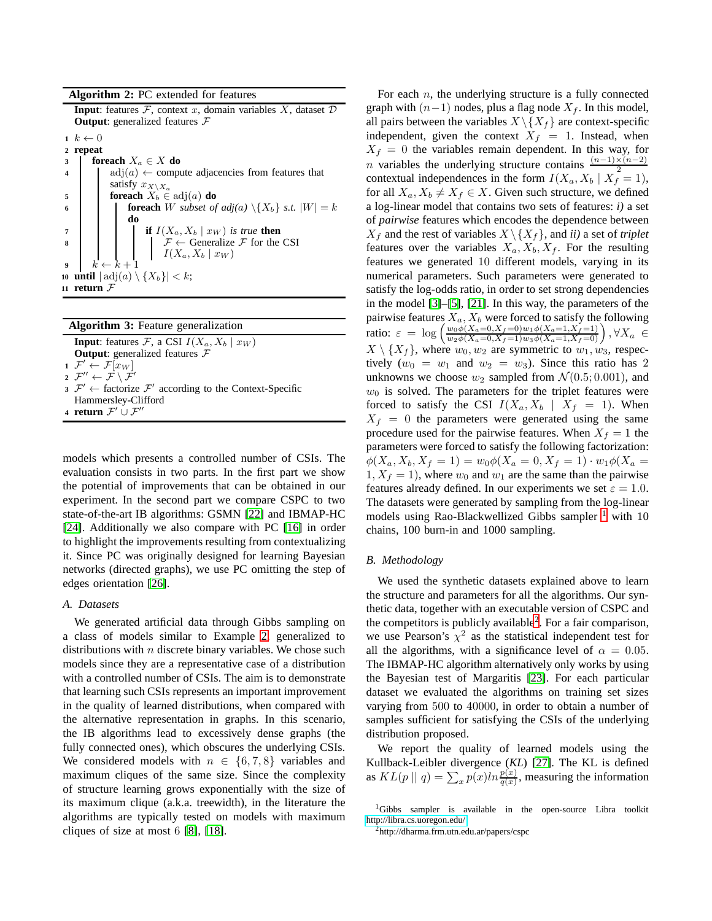| Algorithm 2: PC extended for features |  |  |  |  |  |
|---------------------------------------|--|--|--|--|--|
|---------------------------------------|--|--|--|--|--|

**Input**: features  $F$ , context  $x$ , domain variables  $X$ , dataset  $D$ **Output**: generalized features  $\mathcal{F}$ 

 $k \leftarrow 0$ **<sup>2</sup> repeat foreach**  $X_a \in X$  **do**   $\begin{bmatrix} \n\end{bmatrix}$  adj $(a) \leftarrow$  compute adjacencies from features that satisfy  $x_{X\backslash X_a}$  **foreach**  $X_b \in \text{adj}(a)$  **do for i foreach** W *subset of adj(a)*  $\{X_b\}$  *s.t.*  $|W| = k$ **do if**  $I(X_a, X_b | x_W)$  *is true* **then**   $\begin{array}{|c|c|c|c|c|} \hline \end{array}$  **F**  $\leftarrow$  Generalize F for the CSI  $I(X_a, X_b | x_W)$   $k \leftarrow k + 1$ **until**  $|\operatorname{adj}(a) \setminus \{X_b\}| < k$ ; **<sup>11</sup> return** F

<span id="page-4-0"></span>**Algorithm 3:** Feature generalization **Input**: features F, a CSI  $I(X_a, X_b | x_W)$ **Output**: generalized features F  $\mathbf{1}$   $\mathcal{F}' \leftarrow \mathcal{F}[x_W]$  $\mathcal{I} \ \mathcal{F}^{\prime\prime} \leftarrow \mathcal{F} \setminus \mathcal{F}^{\prime}$ **3**  $\mathcal{F}'$   $\leftarrow$  factorize  $\mathcal{F}'$  according to the Context-Specific Hammersley-Clifford **4 return**  $\mathcal{F}' \cup \mathcal{F}''$ 

<span id="page-4-1"></span>models which presents a controlled number of CSIs. The evaluation consists in two parts. In the first part we show the potential of improvements that can be obtained in our experiment. In the second part we compare CSPC to two state-of-the-art IB algorithms: GSMN [\[22\]](#page-7-16) and IBMAP-HC [\[24\]](#page-7-18). Additionally we also compare with PC [\[16\]](#page-7-10) in order to highlight the improvements resulting from contextualizing it. Since PC was originally designed for learning Bayesian networks (directed graphs), we use PC omitting the step of edges orientation [\[26\]](#page-7-20).

#### <span id="page-4-4"></span>*A. Datasets*

We generated artificial data through Gibbs sampling on a class of models similar to Example [2,](#page-1-3) generalized to distributions with  $n$  discrete binary variables. We chose such models since they are a representative case of a distribution with a controlled number of CSIs. The aim is to demonstrate that learning such CSIs represents an important improvement in the quality of learned distributions, when compared with the alternative representation in graphs. In this scenario, the IB algorithms lead to excessively dense graphs (the fully connected ones), which obscures the underlying CSIs. We considered models with  $n \in \{6, 7, 8\}$  variables and maximum cliques of the same size. Since the complexity of structure learning grows exponentially with the size of its maximum clique (a.k.a. treewidth), in the literature the algorithms are typically tested on models with maximum cliques of size at most 6 [\[8\]](#page-7-7), [\[18\]](#page-7-12).

For each  $n$ , the underlying structure is a fully connected graph with  $(n-1)$  nodes, plus a flag node  $X_f$ . In this model, all pairs between the variables  $X \setminus \{X_f\}$  are context-specific independent, given the context  $X_f = 1$ . Instead, when  $X_f = 0$  the variables remain dependent. In this way, for *n* variables the underlying structure contains  $\frac{(n-1)\times(n-2)}{2}$ contextual independences in the form  $I(X_a, X_b | X_f = 1)$ , for all  $X_a, X_b \neq X_f \in X$ . Given such structure, we defined a log-linear model that contains two sets of features: *i)* a set of *pairwise* features which encodes the dependence between  $X_f$  and the rest of variables  $X \setminus \{X_f\}$ , and *ii*) a set of *triplet* features over the variables  $X_a, X_b, X_f$ . For the resulting features we generated 10 different models, varying in its numerical parameters. Such parameters were generated to satisfy the log-odds ratio, in order to set strong dependencies in the model [\[3\]](#page-7-21)–[\[5\]](#page-7-1), [\[21\]](#page-7-15). In this way, the parameters of the pairwise features  $X_a, X_b$  were forced to satisfy the following **ratio:** ε = log  $\left(\frac{w_0 \phi(X_a=0, X_f=0) w_1 \phi(X_a=1, X_f=1)}{w_2 \phi(X_a=0, X_f=1) w_3 \phi(X_a=1, X_f=0)}\right)$ , ∀ $X_a$  ∈  $X \setminus \{X_f\}$ , where  $w_0, w_2$  are symmetric to  $w_1, w_3$ , respectively  $(w_0 = w_1$  and  $w_2 = w_3$ ). Since this ratio has 2 unknowns we choose  $w_2$  sampled from  $\mathcal{N}(0.5; 0.001)$ , and  $w_0$  is solved. The parameters for the triplet features were forced to satisfy the CSI  $I(X_a, X_b | X_f = 1)$ . When  $X_f = 0$  the parameters were generated using the same procedure used for the pairwise features. When  $X_f = 1$  the parameters were forced to satisfy the following factorization:  $\phi(X_a, X_b, X_f = 1) = w_0 \phi(X_a = 0, X_f = 1) \cdot w_1 \phi(X_a = 1)$  $1, X_f = 1$ , where  $w_0$  and  $w_1$  are the same than the pairwise features already defined. In our experiments we set  $\varepsilon = 1.0$ . The datasets were generated by sampling from the log-linear models using Rao-Blackwellized Gibbs sampler  $<sup>1</sup>$  $<sup>1</sup>$  $<sup>1</sup>$  with 10</sup> chains, 100 burn-in and 1000 sampling.

#### *B. Methodology*

We used the synthetic datasets explained above to learn the structure and parameters for all the algorithms. Our synthetic data, together with an executable version of CSPC and the competitors is publicly available<sup>[2](#page-4-3)</sup>. For a fair comparison, we use Pearson's  $\chi^2$  as the statistical independent test for all the algorithms, with a significance level of  $\alpha = 0.05$ . The IBMAP-HC algorithm alternatively only works by using the Bayesian test of Margaritis [\[23\]](#page-7-17). For each particular dataset we evaluated the algorithms on training set sizes varying from 500 to 40000, in order to obtain a number of samples sufficient for satisfying the CSIs of the underlying distribution proposed.

We report the quality of learned models using the Kullback-Leibler divergence (*KL*) [\[27\]](#page-7-22). The KL is defined as  $KL(p \mid q) = \sum_{x} p(x) ln \frac{p(x)}{q(x)}$ , measuring the information

<sup>1</sup>Gibbs sampler is available in the open-source Libra toolkit <http://libra.cs.uoregon.edu/>

<span id="page-4-3"></span><span id="page-4-2"></span><sup>2</sup>http://dharma.frm.utn.edu.ar/papers/cspc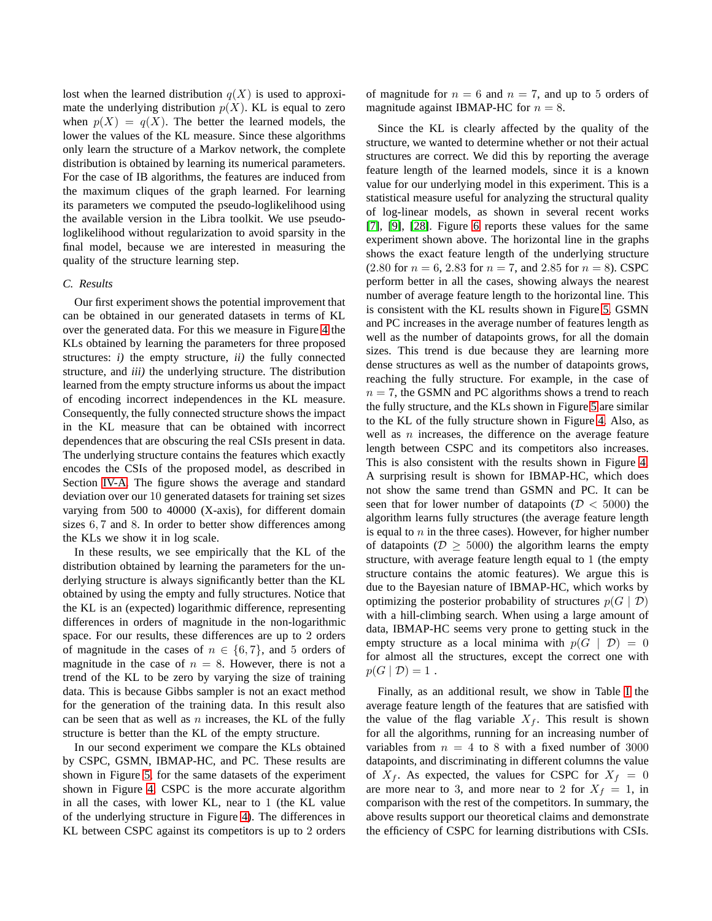lost when the learned distribution  $q(X)$  is used to approximate the underlying distribution  $p(X)$ . KL is equal to zero when  $p(X) = q(X)$ . The better the learned models, the lower the values of the KL measure. Since these algorithms only learn the structure of a Markov network, the complete distribution is obtained by learning its numerical parameters. For the case of IB algorithms, the features are induced from the maximum cliques of the graph learned. For learning its parameters we computed the pseudo-loglikelihood using the available version in the Libra toolkit. We use pseudologlikelihood without regularization to avoid sparsity in the final model, because we are interested in measuring the quality of the structure learning step.

## *C. Results*

Our first experiment shows the potential improvement that can be obtained in our generated datasets in terms of KL over the generated data. For this we measure in Figure [4](#page-6-0) the KLs obtained by learning the parameters for three proposed structures: *i)* the empty structure, *ii)* the fully connected structure, and *iii)* the underlying structure. The distribution learned from the empty structure informs us about the impact of encoding incorrect independences in the KL measure. Consequently, the fully connected structure shows the impact in the KL measure that can be obtained with incorrect dependences that are obscuring the real CSIs present in data. The underlying structure contains the features which exactly encodes the CSIs of the proposed model, as described in Section [IV-A.](#page-4-4) The figure shows the average and standard deviation over our 10 generated datasets for training set sizes varying from 500 to 40000 (X-axis), for different domain sizes 6, 7 and 8. In order to better show differences among the KLs we show it in log scale.

In these results, we see empirically that the KL of the distribution obtained by learning the parameters for the underlying structure is always significantly better than the KL obtained by using the empty and fully structures. Notice that the KL is an (expected) logarithmic difference, representing differences in orders of magnitude in the non-logarithmic space. For our results, these differences are up to 2 orders of magnitude in the cases of  $n \in \{6, 7\}$ , and 5 orders of magnitude in the case of  $n = 8$ . However, there is not a trend of the KL to be zero by varying the size of training data. This is because Gibbs sampler is not an exact method for the generation of the training data. In this result also can be seen that as well as  $n$  increases, the KL of the fully structure is better than the KL of the empty structure.

In our second experiment we compare the KLs obtained by CSPC, GSMN, IBMAP-HC, and PC. These results are shown in Figure [5,](#page-6-1) for the same datasets of the experiment shown in Figure [4.](#page-6-0) CSPC is the more accurate algorithm in all the cases, with lower KL, near to 1 (the KL value of the underlying structure in Figure [4\)](#page-6-0). The differences in KL between CSPC against its competitors is up to 2 orders of magnitude for  $n = 6$  and  $n = 7$ , and up to 5 orders of magnitude against IBMAP-HC for  $n = 8$ .

Since the KL is clearly affected by the quality of the structure, we wanted to determine whether or not their actual structures are correct. We did this by reporting the average feature length of the learned models, since it is a known value for our underlying model in this experiment. This is a statistical measure useful for analyzing the structural quality of log-linear models, as shown in several recent works [\[7\]](#page-7-23), [\[9\]](#page-7-3), [\[28\]](#page-7-24). Figure [6](#page-6-2) reports these values for the same experiment shown above. The horizontal line in the graphs shows the exact feature length of the underlying structure  $(2.80$  for  $n = 6, 2.83$  for  $n = 7$ , and 2.85 for  $n = 8$ ). CSPC perform better in all the cases, showing always the nearest number of average feature length to the horizontal line. This is consistent with the KL results shown in Figure [5.](#page-6-1) GSMN and PC increases in the average number of features length as well as the number of datapoints grows, for all the domain sizes. This trend is due because they are learning more dense structures as well as the number of datapoints grows, reaching the fully structure. For example, in the case of  $n = 7$ , the GSMN and PC algorithms shows a trend to reach the fully structure, and the KLs shown in Figure [5](#page-6-1) are similar to the KL of the fully structure shown in Figure [4.](#page-6-0) Also, as well as  $n$  increases, the difference on the average feature length between CSPC and its competitors also increases. This is also consistent with the results shown in Figure [4.](#page-6-0) A surprising result is shown for IBMAP-HC, which does not show the same trend than GSMN and PC. It can be seen that for lower number of datapoints ( $\mathcal{D}$  < 5000) the algorithm learns fully structures (the average feature length is equal to  $n$  in the three cases). However, for higher number of datapoints ( $\mathcal{D} > 5000$ ) the algorithm learns the empty structure, with average feature length equal to 1 (the empty structure contains the atomic features). We argue this is due to the Bayesian nature of IBMAP-HC, which works by optimizing the posterior probability of structures  $p(G | \mathcal{D})$ with a hill-climbing search. When using a large amount of data, IBMAP-HC seems very prone to getting stuck in the empty structure as a local minima with  $p(G | \mathcal{D}) = 0$ for almost all the structures, except the correct one with  $p(G | \mathcal{D}) = 1$ .

Finally, as an additional result, we show in Table [I](#page-6-3) the average feature length of the features that are satisfied with the value of the flag variable  $X_f$ . This result is shown for all the algorithms, running for an increasing number of variables from  $n = 4$  to 8 with a fixed number of 3000 datapoints, and discriminating in different columns the value of  $X_f$ . As expected, the values for CSPC for  $X_f = 0$ are more near to 3, and more near to 2 for  $X_f = 1$ , in comparison with the rest of the competitors. In summary, the above results support our theoretical claims and demonstrate the efficiency of CSPC for learning distributions with CSIs.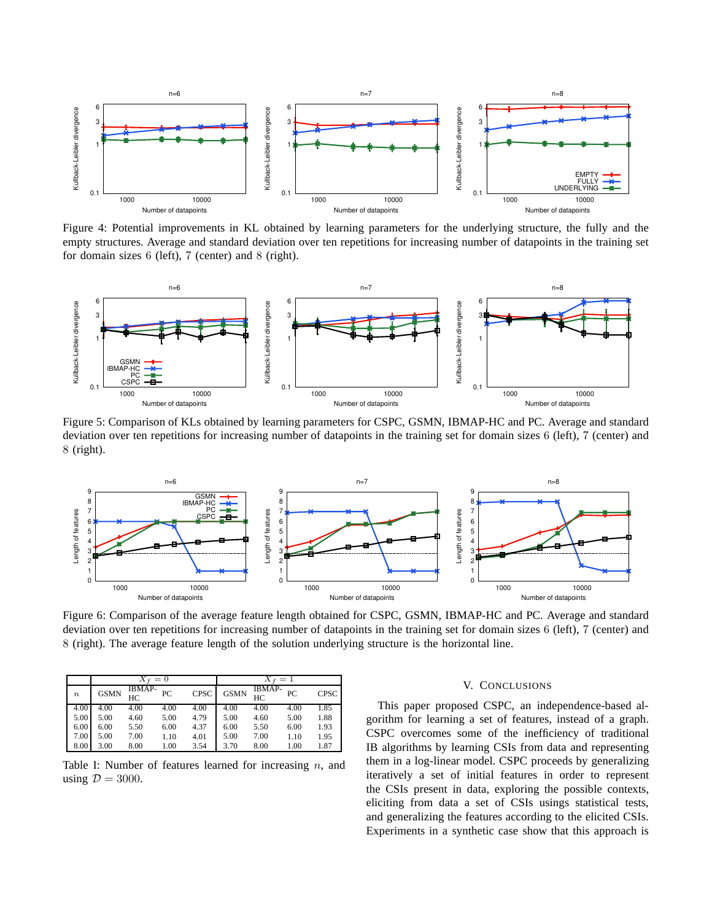<span id="page-6-0"></span>

Figure 4: Potential improvements in KL obtained by learning parameters for the underlying structure, the fully and the empty structures. Average and standard deviation over ten repetitions for increasing number of datapoints in the training set for domain sizes 6 (left), 7 (center) and 8 (right).

<span id="page-6-1"></span>

Figure 5: Comparison of KLs obtained by learning parameters for CSPC, GSMN, IBMAP-HC and PC. Average and standard deviation over ten repetitions for increasing number of datapoints in the training set for domain sizes 6 (left), 7 (center) and 8 (right).

<span id="page-6-2"></span>

Figure 6: Comparison of the average feature length obtained for CSPC, GSMN, IBMAP-HC and PC. Average and standard deviation over ten repetitions for increasing number of datapoints in the training set for domain sizes 6 (left), 7 (center) and 8 (right). The average feature length of the solution underlying structure is the horizontal line.

<span id="page-6-3"></span>

|                  | $= 0$       |              |      |             | $=1$        |               |      |             |
|------------------|-------------|--------------|------|-------------|-------------|---------------|------|-------------|
| $\boldsymbol{n}$ | <b>GSMN</b> | IBMAP-<br>HС | PC.  | <b>CPSC</b> | <b>GSMN</b> | IBMAP-<br>HC. | PC   | <b>CPSC</b> |
| 4.00             | 4.00        | 4.00         | 4.00 | 4.00        | 4.00        | 4.00          | 4.00 | 1.85        |
| 5.00             | 5.00        | 4.60         | 5.00 | 4.79        | 5.00        | 4.60          | 5.00 | 1.88        |
| 6.00             | 6.00        | 5.50         | 6.00 | 4.37        | 6.00        | 5.50          | 6.00 | 1.93        |
| 7.00             | 5.00        | 7.00         | 1.10 | 4.01        | 5.00        | 7.00          | 1.10 | 1.95        |
| 8.00             | 3.00        | 8.00         | 1.00 | 3.54        | 3.70        | 8.00          | 1.00 | 1.87        |

Table I: Number of features learned for increasing  $n$ , and using  $\mathcal{D} = 3000$ .

## V. CONCLUSIONS

This paper proposed CSPC, an independence-based algorithm for learning a set of features, instead of a graph. CSPC overcomes some of the inefficiency of traditional IB algorithms by learning CSIs from data and representing them in a log-linear model. CSPC proceeds by generalizing iteratively a set of initial features in order to represent the CSIs present in data, exploring the possible contexts, eliciting from data a set of CSIs usings statistical tests, and generalizing the features according to the elicited CSIs. Experiments in a synthetic case show that this approach is